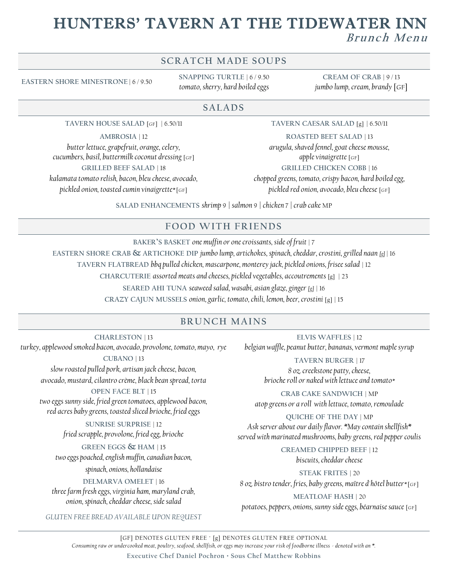## HUNTERS' TAVERN AT THE TIDEWATER INN  $B$ *runch Menu*

#### **SCRATCH MADE SOUPS**

**EASTERN SHORE MINESTRONE** | 6 / 9.50

**SNAPPING TURTLE** | 6 / 9.50 *tomato, sherry, hard boiled eggs*

**CREAM OF CRAB** | 9 / 13 *jumbo lump, cream, brandy* [GF]

#### **SALADS**

**TAVERN HOUSE SALAD** [GF] | 6.50/11

**AMBROSIA** | 12

*butter lettuce, grapefruit, orange, celery, cucumbers, basil, buttermilk coconut dressing* [GF] **GRILLED BEEF SALAD** | 18 *kalamata tomato relish, bacon, bleu cheese, avocado, pickled onion, toasted cumin vinaigrette\** [GF]

**TAVERN CAESAR SALAD** [g] | 6.50/11

**ROASTED BEET SALAD** | 13 *arugula, shaved fennel, goat cheese mousse, apple vinaigrette* [GF] **GRILLED CHICKEN COBB** | 16 *chopped greens, tomato, crispy bacon, hard boiled egg, pickled red onion, avocado, bleu cheese* [GF]

**SALAD ENHANCEMENTS** *shrimp* 9 *| salmon* 9 *| chicken* 7 *| crab cake* MP

#### **F OOD WITH F R IENDS**

**BAKER'S BASKET** *one muffin or one croissants, side of fruit* | 7 **EASTERN SHORE CRAB & ARTICHOKE DIP** *jumbo lump, artichokes, spinach, cheddar, crostini, grilled naan [g]* | 16 **TAVERN FLATBREAD** *bbq pulled chicken, mascarpone, monterey jack, pickled onions, frisee salad* | 12 **CHARCUTERIE** *assorted meats and cheeses, pickled vegetables, accoutrements* [g] | 23 **SEARED AHI TUNA** *seaweed salad, wasabi, asian glaze, ginger [g]* | 16

**CRAZY CAJUN MUSSELS** *onion, garlic, tomato, chili, lemon, beer, crostini* [g] | 15

#### **BRUNCH MAINS**

**CHARLESTON** | 13 *turkey, applewood smoked bacon, avocado, provolone, tomato, mayo, rye*

**CUBANO** | 13 *slow roasted pulled pork, artisan jack cheese, bacon, avocado, mustard, cilantro crème, black bean spread, torta*

**OPEN FACE BLT** | 15 *two eggs sunny side, fried green tomatoes, applewood bacon, red acres baby greens, toasted sliced brioche, fried eggs* 

> **SUNRISE SURPRISE** | 12 *fried scrapple, provolone, fried egg, brioche*

**GREEN EGGS & HAM** | 15 *two eggs poached, english muffin, canadian bacon,* 

*spinach, onions, hollandaise* 

**DELMARVA OMELET** | 16 *three farm fresh eggs, virginia ham, maryland crab, onion, spinach, cheddar cheese, side salad*

*GLUTEN FREE BREAD AVAILABLE UPON REQUEST*

**ELVIS WAFFLES** | 12 *belgian waffle, peanut butter, bananas, vermont maple syrup*

> **TAVERN BURGER** | 17 *8 oz. creekstone patty, cheese, brioche roll or naked with lettuce and tomato\**

**CRAB CAKE SANDWICH** | MP *atop greens or a roll with lettuce, tomato, remoulade*

**QUICHE OF THE DAY** | MP *Ask server about our daily flavor. \*May contain shellfish\* served with marinated mushrooms, baby greens, red pepper coulis*

> **CREAMED CHIPPED BEEF** | 12 *biscuits, cheddar cheese*

**STEAK FRITES** | 20 *8 oz. bistro tender, fries, baby greens, maître d'hôtel butter\** [GF]

**MEATLOAF HASH** | 20 *potatoes, peppers, onions, sunny side eggs, béarnaise sauce* [GF]

[GF] DENOTES GLUTEN FREE ∙ [g] DENOTES GLUTEN FREE OPTIONAL *Consuming raw or undercooked meat, poultry, seafood, shellfish, or eggs may increase your risk of foodborne illness - denoted with an \*.*

**Executive Chef Daniel Pochron · Sous Chef Matthew Robbins**